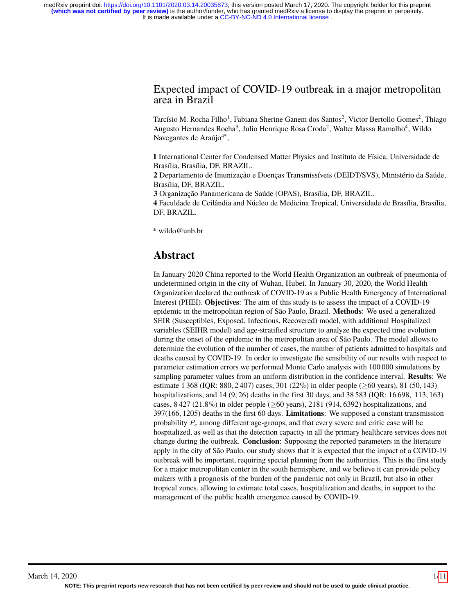#### Expected impact of COVID-19 outbreak in a major metropolitan area in Brazil

Tarcísio M. Rocha Filho<sup>1</sup>, Fabiana Sherine Ganem dos Santos<sup>2</sup>, Victor Bertollo Gomes<sup>2</sup>, Thiago Augusto Hernandes Rocha<sup>3</sup>, Julio Henrique Rosa Croda<sup>2</sup>, Walter Massa Ramalho<sup>4</sup>, Wildo Navegantes de Araújo<sup>4\*</sup>,

**1** International Center for Condensed Matter Physics and Instituto de Física, Universidade de Brasília, Brasília, DF, BRAZIL.

**2** Departamento de Imunização e Doenças Transmissíveis (DEIDT/SVS), Ministério da Saúde, Brasília, DF, BRAZIL.

**3** Organização Panamericana de Saúde (OPAS), Brasília, DF, BRAZIL.

**4** Faculdade de Ceilândia and Núcleo de Medicina Tropical, Universidade de Brasília, Brasília, DF, BRAZIL.

\* wildo@unb.br

### **Abstract**

In January 2020 China reported to the World Health Organization an outbreak of pneumonia of undetermined origin in the city of Wuhan, Hubei. In January 30, 2020, the World Health Organization declared the outbreak of COVID-19 as a Public Health Emergency of International Interest (PHEI). **Objectives**: The aim of this study is to assess the impact of a COVID-19 epidemic in the metropolitan region of São Paulo, Brazil. **Methods**: We used a generalized SEIR (Susceptibles, Exposed, Infectious, Recovered) model, with additional Hospitalized variables (SEIHR model) and age-stratified structure to analyze the expected time evolution during the onset of the epidemic in the metropolitan area of São Paulo. The model allows to determine the evolution of the number of cases, the number of patients admitted to hospitals and deaths caused by COVID-19. In order to investigate the sensibility of our results with respect to parameter estimation errors we performed Monte Carlo analysis with 100 000 simulations by sampling parameter values from an uniform distribution in the confidence interval. **Results**: We estimate 1 368 (IQR: 880, 2 407) cases, 301 (22%) in older people (≥60 years), 81 (50, 143) hospitalizations, and 14 (9, 26) deaths in the first 30 days, and 38 583 (IQR: 16 698, 113, 163) cases,  $8\,427\,(21.8\%)$  in older people ( $\geq 60$  years), 2181 (914, 6392) hospitalizations, and 397(166, 1205) deaths in the first 60 days. **Limitations**: We supposed a constant transmission probability  $P_c$  among different age-groups, and that every severe and critic case will be hospitalized, as well as that the detection capacity in all the primary healthcare services does not change during the outbreak. **Conclusion**: Supposing the reported parameters in the literature apply in the city of São Paulo, our study shows that it is expected that the impact of a COVID-19 outbreak will be important, requiring special planning from the authorities. This is the first study for a major metropolitan center in the south hemisphere, and we believe it can provide policy makers with a prognosis of the burden of the pandemic not only in Brazil, but also in other tropical zones, allowing to estimate total cases, hospitalization and deaths, in support to the management of the public health emergence caused by COVID-19.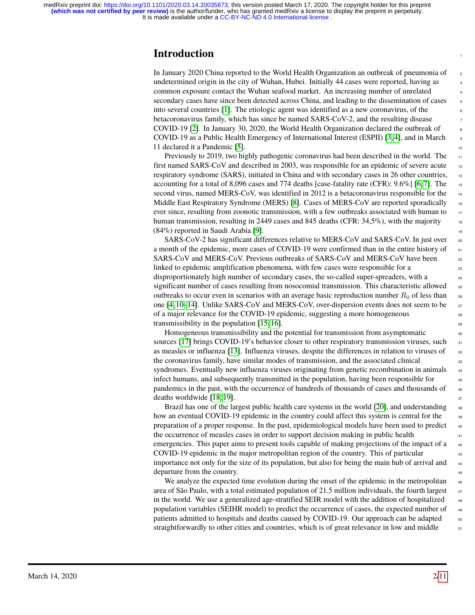#### **Introduction**

In January 2020 China reported to the World Health Organization an outbreak of pneumonia of <sup>2</sup> undetermined origin in the city of Wuhan, Hubei. Initially 44 cases were reported, having as <sup>3</sup> common exposure contact the Wuhan seafood market. An increasing number of unrelated <sup>4</sup> secondary cases have since been detected across China, and leading to the dissemination of cases into several countries [\[1\]](#page-7-0). The etiologic agent was identified as a new coronavirus, of the <sup>6</sup> betacoronavirus family, which has since be named SARS-CoV-2, and the resulting disease <sup>7</sup> COVID-19 [\[2\]](#page-8-0). In January 30, 2020, the World Health Organization declared the outbreak of <sup>8</sup> COVID-19 as a Public Health Emergency of International Interest (ESPII) [\[3,](#page-8-1) [4\]](#page-8-2), and in March <sup>9</sup> 11 declared it a Pandemic [\[5\]](#page-8-3). 10

Previously to 2019, two highly pathogenic coronavirus had been described in the world. The first named SARS-CoV and described in 2003, was responsible for an epidemic of severe acute 12 respiratory syndrome (SARS), initiated in China and with secondary cases in 26 other countries, accounting for a total of 8,096 cases and 774 deaths [case-fatality rate (CFR):  $9.6\%$ ] [\[6,](#page-8-4) [7\]](#page-8-5). The 14 second virus, named MERS-CoV, was identified in 2012 is a betacoronavirus responsible for the Middle East Respiratory Syndrome (MERS) [\[8\]](#page-8-6). Cases of MERS-CoV are reported sporadically  $\frac{1}{16}$ ever since, resulting from zoonotic transmission, with a few outbreaks associated with human to human transmission, resulting in 2449 cases and 845 deaths (CFR:  $34.5\%$ ), with the majority  $(84\%)$  reported in Saudi Arabia [\[9\]](#page-8-7).

SARS-CoV-2 has significant differences relative to MERS-CoV and SARS-CoV. In just over  $_{20}$ a month of the epidemic, more cases of COVID-19 were confirmed than in the entire history of  $_{21}$ SARS-CoV and MERS-CoV. Previous outbreaks of SARS-CoV and MERS-CoV have been  $_{22}$ linked to epidemic amplification phenomena, with few cases were responsible for a  $_{23}$ disproportionately high number of secondary cases, the so-called super-spreaders, with a  $_{24}$ significant number of cases resulting from nosocomial transmission. This characteristic allowed 25 outbreaks to occur even in scenarios with an average basic reproduction number  $R_0$  of less than one  $[4, 10-14]$  $[4, 10-14]$  $[4, 10-14]$ . Unlike SARS-CoV and MERS-CoV, over-dispersion events does not seem to be  $27$ of a major relevance for the COVID-19 epidemic, suggesting a more homogeneous  $_{28}$ transmissibility in the population  $[15, 16]$  $[15, 16]$ .

Homogeneous transmissibility and the potential for transmission from asymptomatic  $\frac{30}{20}$ sources [\[17\]](#page-9-3) brings COVID-19's behavior closer to other respiratory transmission viruses, such  $\frac{31}{31}$ as measles or influenza [\[13\]](#page-8-9). Influenza viruses, despite the differences in relation to viruses of  $\frac{32}{2}$ the coronavirus family, have similar modes of transmission, and the associated clinical  $\frac{33}{33}$ syndromes. Eventually new influenza viruses originating from genetic recombination in animals  $\frac{34}{4}$ infect humans, and subsequently transmitted in the population, having been responsible for  $\frac{35}{25}$ pandemics in the past, with the occurrence of hundreds of thousands of cases and thousands of <sup>36</sup>  $deaths$  worldwide [\[18,](#page-9-4) [19\]](#page-9-5).  $\frac{37}{27}$ 

Brazil has one of the largest public health care systems in the world  $[20]$ , and understanding  $\frac{1}{38}$ how an eventual COVID-19 epidemic in the country could affect this system is central for the <sup>39</sup> preparation of a proper response. In the past, epidemiological models have been used to predict  $\frac{40}{40}$ the occurrence of measles cases in order to support decision making in public health  $\frac{41}{11}$ emergencies. This paper aims to present tools capable of making projections of the impact of a  $42$ COVID-19 epidemic in the major metropolitan region of the country. This of particular <sup>43</sup> importance not only for the size of its population, but also for being the main hub of arrival and  $\frac{44}{44}$ departure from the country.

We analyze the expected time evolution during the onset of the epidemic in the metropolitan  $\frac{46}{46}$ area of São Paulo, with a total estimated population of 21.5 million individuals, the fourth largest  $47$ in the world. We use a generalized age-stratified SEIR model with the addition of hospitalized  $48$ population variables (SEIHR model) to predict the occurrence of cases, the expected number of  $\frac{49}{49}$ patients admitted to hospitals and deaths caused by COVID-19. Our approach can be adapted  $\frac{50}{50}$ straightforwardly to other cities and countries, which is of great relevance in low and middle  $\frac{51}{100}$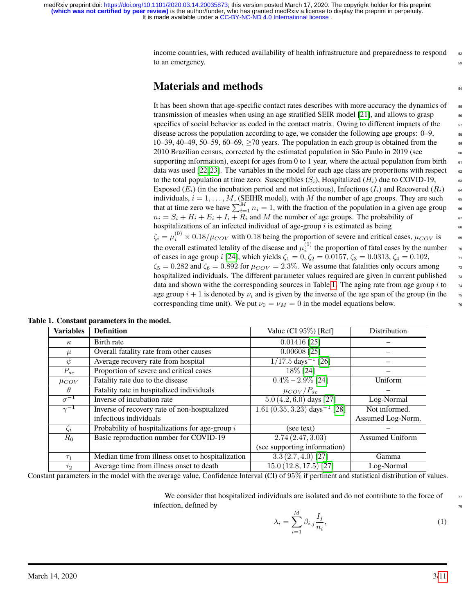> income countries, with reduced availability of health infrastructure and preparedness to respond  $\frac{1}{2}$ to an emergency.

### **Materials and methods** 54

It has been shown that age-specific contact rates describes with more accuracy the dynamics of transmission of measles when using an age stratified SEIR model [\[21\]](#page-9-7), and allows to grasp <sup>56</sup> specifics of social behavior as coded in the contact matrix. Owing to different impacts of the disease across the population according to age, we consider the following age groups:  $0-9$ ,  $\frac{58}{10}$ 10–39, 40–49, 50–59, 60–69,  $\geq$  70 years. The population in each group is obtained from the 2010 Brazilian census, corrected by the estimated population in São Paulo in 2019 (see  $\frac{1}{60}$ supporting information), except for ages from 0 to 1 year, where the actual population from birth  $\epsilon$ data was used [\[22,](#page-9-8) [23\]](#page-9-9). The variables in the model for each age class are proportions with respect  $\epsilon$ to the total population at time zero: Susceptibles  $(S_i)$ , Hospitalized  $(H_i)$  due to COVID-19, Exposed  $(E_i)$  (in the incubation period and not infectious), Infectious  $(I_i)$  and Recovered  $(R_i)$  64 individuals,  $i = 1, \ldots, M$ , (SEIHR model), with M the number of age groups. They are such  $\epsilon$ that at time zero we have  $\sum_{i=1}^{M} n_i = 1$ , with the fraction of the population in a given age group 66  $n_i = S_i + H_i + E_i + I_i + R_i$  and M the number of age groups. The probability of hospitalizations of an infected individual of age-group  $i$  is estimated as being  $\zeta_i = \mu_i^{(0)} \times 0.18/\mu_{COV}$  with 0.18 being the proportion of severe and critical cases,  $\mu_{COV}$  is  $\qquad \circ$ the overall estimated letality of the disease and  $\mu_i^{(0)}$  the proportion of fatal cases by the number  $\tau_0$ of cases in age group i [\[24\]](#page-9-10), which yields  $\zeta_1 = 0$ ,  $\zeta_2 = 0.0157$ ,  $\zeta_3 = 0.0313$ ,  $\zeta_4 = 0.102$ ,  $\zeta_5 = 0.282$  and  $\zeta_6 = 0.892$  for  $\mu_{COV} = 2.3\%$ . We assume that fatalities only occurs among  $\tau$ hospitalized individuals. The different parameter values required are given in current published  $\frac{1}{2}$ data and shown withe the corresponding sources in Table [1.](#page-2-0) The aging rate from age group i to  $\frac{74}{4}$ age group  $i + 1$  is denoted by  $\nu_i$  and is given by the inverse of the age span of the group (in the corresponding time unit). We put  $\nu_0 = \nu_M = 0$  in the model equations below.

<span id="page-2-0"></span>

| <b>Variables</b>         | <b>Definition</b>                                 | Value (CI $95\%$ ) [Ref]                    | Distribution           |
|--------------------------|---------------------------------------------------|---------------------------------------------|------------------------|
| $\kappa$                 | Birth rate                                        | $0.01416$ [25]                              |                        |
| $\mu$                    | Overall fatality rate from other causes           | $0.00608$ [25]                              |                        |
| $\psi$                   | Average recovery rate from hospital               | $\frac{1}{17.5 \text{ days}^{-1}$ [26]      |                        |
| $P_{sc}$                 | Proportion of severe and critical cases           | 18% [24]                                    |                        |
| $\mu_{COV}$              | Fatality rate due to the disease                  | $0.4\% - 2.9\%$ [24]                        | Uniform                |
| $\theta$                 | Fatality rate in hospitalized individuals         | $\mu_{COV}/P_{sc}$                          |                        |
| $\overline{\sigma^{-1}}$ | Inverse of incubation rate                        | $5.0 (4.2, 6.0)$ days [27]                  | Log-Normal             |
| $\overline{\gamma^{-1}}$ | Inverse of recovery rate of non-hospitalized      | $1.61 (0.35, 3.23)$ days <sup>-1</sup> [28] | Not informed.          |
|                          | infectious individuals                            |                                             | Assumed Log-Norm.      |
| $\zeta_i$                | Probability of hospitalizations for age-group $i$ | (see text)                                  |                        |
| $R_0$                    | Basic reproduction number for COVID-19            | 2.74(2.47, 3.03)                            | <b>Assumed Uniform</b> |
|                          |                                                   | (see supporting information)                |                        |
| $\tau_1$                 | Median time from illness onset to hospitalization | $\overline{3.3(2.7,4.0)}$ [27]              | Gamma                  |
| $\tau_2$                 | Average time from illness onset to death          | $\overline{15.0}$ (12.8, 17.5) [27]         | Log-Normal             |

Constant parameters in the model with the average value, Confidence Interval (CI) of 95% if pertinent and statistical distribution of values.

We consider that hospitalized individuals are isolated and do not contribute to the force of  $\frac{7}{77}$ infection, defined by

<span id="page-2-1"></span>
$$
\lambda_i = \sum_{i=1}^{M} \beta_{i,j} \frac{I_j}{n_i},\tag{1}
$$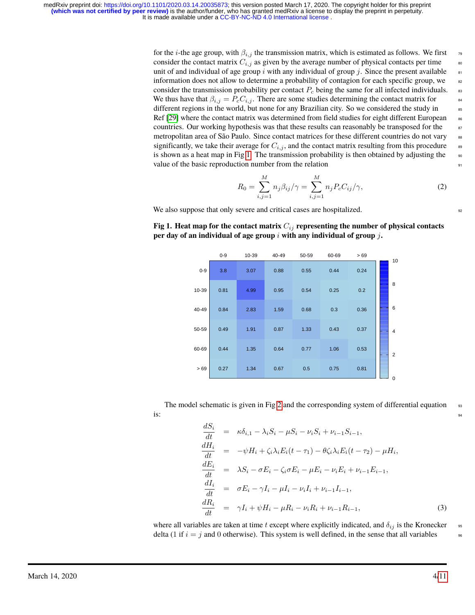> for the *i*-the age group, with  $\beta_{i,j}$  the transmission matrix, which is estimated as follows. We first  $\beta$ consider the contact matrix  $C_{i,j}$  as given by the average number of physical contacts per time unit of and individual of age group i with any individual of group j. Since the present available  $\frac{1}{81}$ information does not allow to determine a probability of contagion for each specific group, we  $\frac{82}{2}$ consider the transmission probability per contact  $P_c$  being the same for all infected individuals.  $\bullet$ We thus have that  $\beta_{i,j} = P_c C_{i,j}$ . There are some studies determining the contact matrix for different regions in the world, but none for any Brazilian city. So we considered the study in  $\frac{1}{85}$ Ref [\[29\]](#page-9-15) where the contact matrix was determined from field studies for eight different European countries. Our working hypothesis was that these results can reasonably be transposed for the  $\frac{87}{100}$ metropolitan area of São Paulo. Since contact matrices for these different countries do not vary 88 significantly, we take their average for  $C_{i,j}$ , and the contact matrix resulting from this procedure  $\bullet$ is shown as a heat map in Fig [1.](#page-3-0) The transmission probability is then obtained by adjusting the  $\bullet$ value of the basic reproduction number from the relation  $\frac{91}{91}$

<span id="page-3-2"></span>
$$
R_0 = \sum_{i,j=1}^{M} n_j \beta_{ij} / \gamma = \sum_{i,j=1}^{M} n_j P_c C_{ij} / \gamma,
$$
 (2)

We also suppose that only severe and critical cases are hospitalized.  $\frac{92}{2}$ 

<span id="page-3-0"></span>**Fig 1. Heat map for the contact matrix**  $C_{ij}$  **representing the number of physical contacts per day of an individual of age group** i **with any individual of group** j**.**

|         | $0 - 9$ | 10-39 | 40-49 | 50-59 | 60-69 | >69  | 10             |
|---------|---------|-------|-------|-------|-------|------|----------------|
| $0 - 9$ | 3.8     | 3.07  | 0.88  | 0.55  | 0.44  | 0.24 |                |
| 10-39   | 0.81    | 4.99  | 0.95  | 0.54  | 0.25  | 0.2  | 8              |
| 40-49   | 0.84    | 2.83  | 1.59  | 0.68  | 0.3   | 0.36 | 6              |
| 50-59   | 0.49    | 1.91  | 0.87  | 1.33  | 0.43  | 0.37 | $\overline{4}$ |
| 60-69   | 0.44    | 1.35  | 0.64  | 0.77  | 1.06  | 0.53 | $\overline{2}$ |
| >69     | 0.27    | 1.34  | 0.67  | 0.5   | 0.75  | 0.81 | $\mathbf 0$    |

The model schematic is given in Fig [2](#page-4-0) and the corresponding system of differential equation  $\frac{93}{2}$  $\frac{1}{2}$  is:  $\frac{94}{2}$ 

<span id="page-3-1"></span>
$$
\frac{dS_i}{dt} = \kappa \delta_{i,1} - \lambda_i S_i - \mu S_i - \nu_i S_i + \nu_{i-1} S_{i-1},
$$
\n
$$
\frac{dH_i}{dt} = -\psi H_i + \zeta_i \lambda_i E_i (t - \tau_1) - \theta \zeta_i \lambda_i E_i (t - \tau_2) - \mu H_i,
$$
\n
$$
\frac{dE_i}{dt} = \lambda S_i - \sigma E_i - \zeta_i \sigma E_i - \mu E_i - \nu_i E_i + \nu_{i-1} E_{i-1},
$$
\n
$$
\frac{dI_i}{dt} = \sigma E_i - \gamma I_i - \mu I_i - \nu_i I_i + \nu_{i-1} I_{i-1},
$$
\n
$$
\frac{dR_i}{dt} = \gamma I_i + \psi H_i - \mu R_i - \nu_i R_i + \nu_{i-1} R_{i-1},
$$
\n(3)

where all variables are taken at time t except where explicitly indicated, and  $\delta_{ij}$  is the Kronecker  $\bullet$ delta (1 if  $i = j$  and 0 otherwise). This system is well defined, in the sense that all variables

March 14, 2020 4[/11](#page-10-0)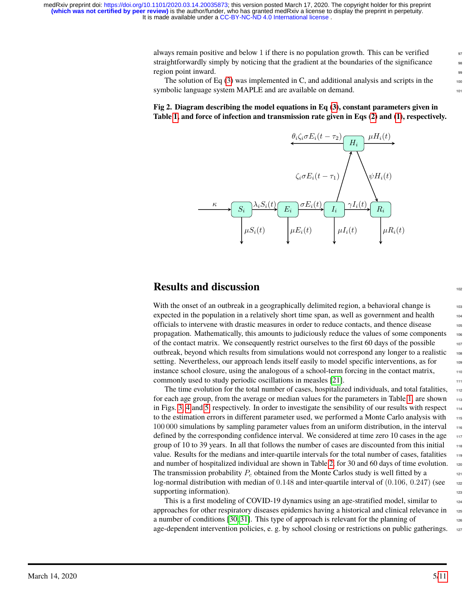**(which was not certified by peer review)** is the author/funder, who has granted medRxiv a license to display the preprint in perpetuity.<br>It is made available under a CC-BY-NC-ND 4.0 International license. medRxiv preprint doi: [https://doi.org/10.1101/2020.03.14.20035873;](https://doi.org/10.1101/2020.03.14.20035873) this version posted March 17, 2020. The copyright holder for this preprint

> always remain positive and below 1 if there is no population growth. This can be verified  $\frac{97}{97}$ straightforwardly simply by noticing that the gradient at the boundaries of the significance region point inward.

> The solution of Eq  $(3)$  was implemented in C, and additional analysis and scripts in the symbolic language system MAPLE and are available on demand.

#### <span id="page-4-0"></span>**Fig 2. Diagram describing the model equations in Eq [\(3\)](#page-3-1), constant parameters given in Table [1,](#page-2-0) and force of infection and transmission rate given in Eqs [\(2\)](#page-3-2) and [\(1\)](#page-2-1), respectively.**



### **Results** and discussion

With the onset of an outbreak in a geographically delimited region, a behavioral change is  $103$ expected in the population in a relatively short time span, as well as government and health  $104$ officials to intervene with drastic measures in order to reduce contacts, and thence disease <sup>105</sup> propagation. Mathematically, this amounts to judiciously reduce the values of some components 106 of the contact matrix. We consequently restrict ourselves to the first  $60$  days of the possible  $107$ outbreak, beyond which results from simulations would not correspon<sup>d</sup> any longer to <sup>a</sup> realistic <sup>108</sup> setting. Nevertheless, our approach lends itself easily to model specific interventions, as for  $\frac{109}{109}$ instance school closure, using the analogous of <sup>a</sup> school-term forcing in the contact matrix, <sup>110</sup> commonly used to study periodic oscillations in measles [\[21\]](#page-9-7).

The time evolution for the total number of cases, hospitalized individuals, and total fatalities,  $_{112}$ for each age group, from the average or median values for the parameters in Table [1,](#page-2-0) are shown in Figs. [3,](#page-5-0) [4](#page-5-1) and [5,](#page-5-2) respectively. In order to investigate the sensibility of our results with respect  $\frac{1}{144}$ to the estimation errors in different parameter used, we performed a Monte Carlo analysis with  $\frac{1}{15}$ 100 000 simulations by sampling parameter values from an uniform distribution, in the interval 116 defined by the corresponding confidence interval. We considered at time zero 10 cases in the age  $\frac{1}{17}$ group of 10 to 39 years. In all that follows the number of cases are discounted from this initial 118 value. Results for the medians and inter-quartile intervals for the total number of cases, fatalities  $\frac{1}{19}$ and number of hospitalized individual are shown in Table [2](#page-6-0), for 30 and 60 days of time evolution.  $_{120}$ The transmission probability  $P_c$  obtained from the Monte Carlos study is well fitted by a 121 log-normal distribution with median of  $0.148$  and inter-quartile interval of  $(0.106, 0.247)$  (see 122 supporting information).

This is a first modeling of COVID-19 dynamics using an age-stratified model, similar to  $124$ approaches for other respiratory diseases epidemics having a historical and clinical relevance in <sub>125</sub> a number of conditions [\[30,](#page-10-1) [31\]](#page-10-2). This type of approach is relevant for the planning of age-dependent intervention policies, e. g. by school closing or restrictions on public gatherings. 127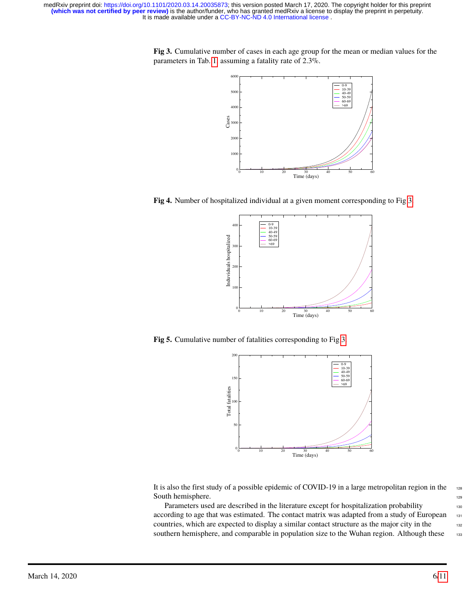<span id="page-5-0"></span>**Fig 3.** Cumulative number of cases in each age group for the mean or median values for the parameters in Tab. [1,](#page-2-0) assuming a fatality rate of 2.3%.



<span id="page-5-1"></span>**Fig 4.** Number of hospitalized individual at a given moment corresponding to Fig [3.](#page-5-0)



<span id="page-5-2"></span>**Fig 5.** Cumulative number of fatalities corresponding to Fig [3.](#page-5-0)



It is also the first study of a possible epidemic of COVID-19 in a large metropolitan region in the <sup>128</sup> South hemisphere. 129

Parameters used are described in the literature except for hospitalization probability 130 according to age that was estimated. The contact matrix was adapted from a study of European 131 countries, which are expected to display a similar contact structure as the major city in the 132 southern hemisphere, and comparable in population size to the Wuhan region. Although these 133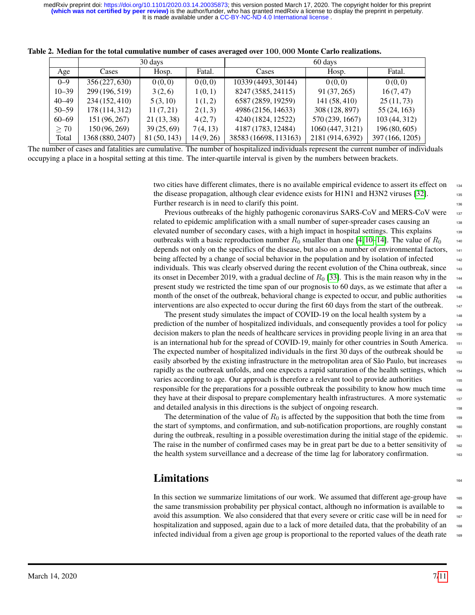<span id="page-6-0"></span>

|           | 30 days          |              |          | 60 days               |                  |                 |
|-----------|------------------|--------------|----------|-----------------------|------------------|-----------------|
| Age       | Cases            | Hosp.        | Fatal.   | Cases                 | Hosp.            | Fatal.          |
| $0 - 9$   | 356 (227, 630)   | 0(0,0)       | 0(0,0)   | 10339 (4493, 30144)   | 0(0,0)           | 0(0,0)          |
| $10 - 39$ | 299 (196, 519)   | 3(2,6)       | 1(0,1)   | 8247 (3585, 24115)    | 91 (37, 265)     | 16(7, 47)       |
| $40 - 49$ | 234 (152, 410)   | 5(3, 10)     | 1(1,2)   | 6587 (2859, 19259)    | 141(58, 410)     | 25(11, 73)      |
| $50 - 59$ | 178 (114, 312)   | 11(7,21)     | 2(1,3)   | 4986 (2156, 14633)    | 308 (128, 897)   | 55 (24, 163)    |
| $60 - 69$ | 151 (96, 267)    | 21(13,38)    | 4(2,7)   | 4240 (1824, 12522)    | 570 (239, 1667)  | 103(44, 312)    |
| $\geq 70$ | 150(96, 269)     | 39(25,69)    | 7(4, 13) | 4187 (1783, 12484)    | 1060 (447, 3121) | 196(80, 605)    |
| Total     | 1368 (880, 2407) | 81 (50, 143) | 14(9,26) | 38583 (16698, 113163) | 2181 (914, 6392) | 397 (166, 1205) |

**Table 2. Median for the total cumulative number of cases averaged over** 100, 000 **Monte Carlo realizations.**

The number of cases and fatalities are cumulative. The number of hospitalized individuals represent the current number of individuals occupying a place in a hospital setting at this time. The inter-quartile interval is given by the numbers between brackets.

> two cities have different climates, there is no available empirical evidence to assert its effect on  $134$ the disease propagation, although clear evidence exists for  $H1N1$  and  $H3N2$  viruses [\[32\]](#page-10-3). Further research is in need to clarify this point.

> Previous outbreaks of the highly pathogenic coronavirus SARS-CoV and MERS-CoV were 137 related to epidemic amplification with a small number of super-spreader cases causing an 138 elevated number of secondary cases, with a high impact in hospital settings. This explains <sup>139</sup> outbreaks with a basic reproduction number  $R_0$  smaller than one [\[4,](#page-8-2) [10–](#page-8-8)[14\]](#page-9-0). The value of  $R_0$ depends not only on the specifics of the disease, but also on a number of environmental factors, <sup>141</sup> being affected by a change of social behavior in the population and by isolation of infected  $_{142}$ individuals. This was clearly observed during the recent evolution of the China outbreak, since  $\frac{1}{43}$ its onset in December 2019, with a gradual decline of  $R_0$  [\[33\]](#page-10-4). This is the main reason why in the  $\frac{1}{44}$ present study we restricted the time span of our prognosis to 60 days, as we estimate that after a 145 month of the onset of the outbreak, behavioral change is expected to occur, and public authorities  $\frac{146}{146}$ interventions are also expected to occur during the first  $60$  days from the start of the outbreak.  $\frac{147}{147}$

> The present study simulates the impact of COVID-19 on the local health system by a prediction of the number of hospitalized individuals, and consequently provides a tool for policy  $_{149}$ decision makers to plan the needs of healthcare services in providing people living in an area that <sup>150</sup> is an international hub for the spread of COVID-19, mainly for other countries in South America. 151 The expected number of hospitalized individuals in the first 30 days of the outbreak should be easily absorbed by the existing infrastructure in the metropolitan area of São Paulo, but increases <sup>153</sup> rapidly as the outbreak unfolds, and one expects a rapid saturation of the health settings, which  $154$ varies according to age. Our approach is therefore a relevant tool to provide authorities responsible for the preparations for a possible outbreak the possibility to know how much time they have at their disposal to prepare complementary health infrastructures. A more systematic  $157$ and detailed analysis in this directions is the subject of ongoing research.

> The determination of the value of  $R_0$  is affected by the supposition that both the time from  $159$ the start of symptoms, and confirmation, and sub-notification proportions, are roughly constant 160 during the outbreak, resulting in a possible overestimation during the initial stage of the epidemic. 161 The raise in the number of confirmed cases may be in great part be due to a better sensitivity of  $_{162}$ the health system surveillance and a decrease of the time lag for laboratory confirmation.

### **Limitations**

In this section we summarize limitations of our work. We assumed that different age-group have  $\frac{165}{165}$ the same transmission probability per physical contact, although no information is available to  $166$ avoid this assumption. We also considered that that every severe or critic case will be in need for  $167$ hospitalization and supposed, again due to a lack of more detailed data, that the probability of an 168 infected individual from a given age group is proportional to the reported values of the death rate 169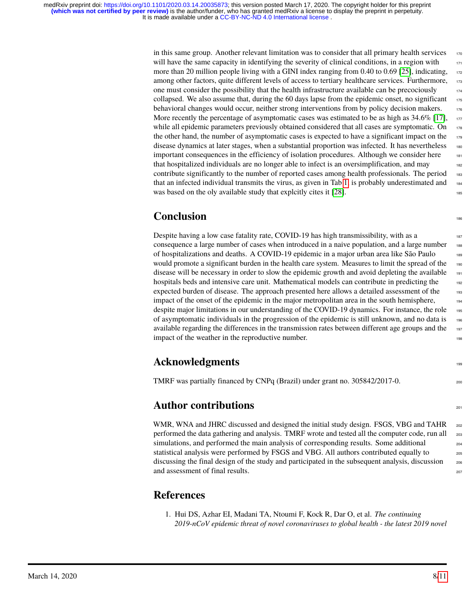> in this same group. Another relevant limitation was to consider that all primary health services  $\frac{170}{170}$ will have the same capacity in identifying the severity of clinical conditions, in a region with  $171$ more than 20 million people living with a GINI index ranging from 0.40 to 0.69 [\[25\]](#page-9-11), indicating,  $172$ among other factors, quite different levels of access to tertiary healthcare services. Furthermore, 173 one must consider the possibility that the health infrastructure available can be precociously  $174$ collapsed. We also assume that, during the 60 days lapse from the epidemic onset, no significant  $175$ behavioral changes would occur, neither strong interventions from by policy decision makers. 176 More recently the percentage of asymptomatic cases was estimated to be as high as  $34.6\%$  [\[17\]](#page-9-3),  $\frac{177}{177}$ while all epidemic parameters previously obtained considered that all cases are symptomatic. On  $178$ the other hand, the number of asymptomatic cases is expected to have a significant impact on the  $\frac{179}{179}$ disease dynamics at later stages, when a substantial proportion was infected. It has nevertheless <sup>180</sup> important consequences in the efficiency of isolation procedures. Although we consider here that hospitalized individuals are no longer able to infect is an oversimplification, and may <sup>182</sup> contribute significantly to the number of reported cases among health professionals. The period 183 that an infected individual transmits the virus, as given in Tab [1,](#page-2-0) is probably underestimated and <sup>184</sup> was based on the oly available study that explcitly cites it  $[28]$ .

# **Conclusion**

Despite having a low case fatality rate, COVID-19 has high transmissibility, with as a 187 consequence a large number of cases when introduced in a naive population, and a large number of hospitalizations and deaths. A COVID-19 epidemic in a major urban area like São Paulo <sup>189</sup> would promote a significant burden in the health care system. Measures to limit the spread of the 190 disease will be necessary in order to slow the epidemic growth and avoid depleting the available  $\frac{1}{191}$ hospitals beds and intensive care unit. Mathematical models can contribute in predicting the expected burden of disease. The approach presented here allows a detailed assessment of the 193 impact of the onset of the epidemic in the major metropolitan area in the south hemisphere, despite major limitations in our understanding of the COVID-19 dynamics. For instance, the role 195 of asymptomatic individuals in the progression of the epidemic is still unknown, and no data is <sup>196</sup> available regarding the differences in the transmission rates between different age groups and the 197 impact of the weather in the reproductive number.

# **Acknowledgments** 199

TMRF was partially financed by CNPq (Brazil) under grant no. 305842/2017-0.

# **Author contributions**

WMR, WNA and JHRC discussed and designed the initial study design. FSGS, VBG and TAHR  $_{202}$ performed the data gathering and analysis. TMRF wrote and tested all the computer code, run all simulations, and performed the main analysis of corresponding results. Some additional 204 statistical analysis were performed by FSGS and VBG. All authors contributed equally to  $_{205}$ discussing the final design of the study and participated in the subsequent analysis, discussion and assessment of final results. 207

### **References**

<span id="page-7-0"></span>1. Hui DS, Azhar EI, Madani TA, Ntoumi F, Kock R, Dar O, et al. *The continuing 2019-nCoV epidemic threat of novel coronaviruses to global health - the latest 2019 novel*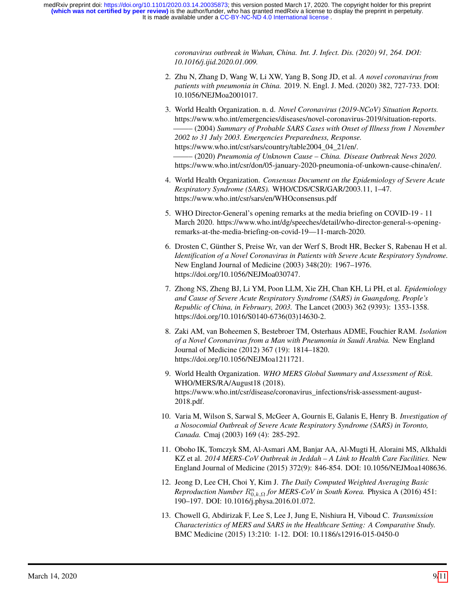> *coronavirus outbreak in Wuhan, China. Int. J. Infect. Dis. (2020) 91, 264. DOI: 10.1016/j.ijid.2020.01.009.*

- <span id="page-8-0"></span>2. Zhu N, Zhang D, Wang W, Li XW, Yang B, Song JD, et al. *A novel coronavirus from patients with pneumonia in China.* 2019. N. Engl. J. Med. (2020) 382, 727-733. DOI: 10.1056/NEJMoa2001017.
- <span id="page-8-1"></span>3. World Health Organization. n. d. *Novel Coronavirus (2019-NCoV) Situation Reports.* https://www.who.int/emergencies/diseases/novel-coronavirus-2019/situation-reports. ——– (2004) *Summary of Probable SARS Cases with Onset of Illness from 1 November 2002 to 31 July 2003. Emergencies Preparedness, Response.* https://www.who.int/csr/sars/country/table2004\_04\_21/en/.

——– (2020) *Pneumonia of Unknown Cause – China. Disease Outbreak News 2020.* https://www.who.int/csr/don/05-january-2020-pneumonia-of-unkown-cause-china/en/.

- <span id="page-8-2"></span>4. World Health Organization. *Consensus Document on the Epidemiology of Severe Acute Respiratory Syndrome (SARS).* WHO/CDS/CSR/GAR/2003.11, 1–47. https://www.who.int/csr/sars/en/WHOconsensus.pdf
- <span id="page-8-3"></span>5. WHO Director-General's opening remarks at the media briefing on COVID-19 - 11 March 2020. https://www.who.int/dg/speeches/detail/who-director-general-s-openingremarks-at-the-media-briefing-on-covid-19—11-march-2020.
- <span id="page-8-4"></span>6. Drosten C, Günther S, Preise Wr, van der Werf S, Brodt HR, Becker S, Rabenau H et al. *Identification of a Novel Coronavirus in Patients with Severe Acute Respiratory Syndrome.* New England Journal of Medicine (2003) 348(20): 1967–1976. https://doi.org/10.1056/NEJMoa030747.
- <span id="page-8-5"></span>7. Zhong NS, Zheng BJ, Li YM, Poon LLM, Xie ZH, Chan KH, Li PH, et al. *Epidemiology and Cause of Severe Acute Respiratory Syndrome (SARS) in Guangdong, People's Republic of China, in February, 2003.* The Lancet (2003) 362 (9393): 1353-1358. https://doi.org/10.1016/S0140-6736(03)14630-2.
- <span id="page-8-6"></span>8. Zaki AM, van Boheemen S, Bestebroer TM, Osterhaus ADME, Fouchier RAM. *Isolation of a Novel Coronavirus from a Man with Pneumonia in Saudi Arabia.* New England Journal of Medicine (2012) 367 (19): 1814–1820. https://doi.org/10.1056/NEJMoa1211721.
- <span id="page-8-7"></span>9. World Health Organization. *WHO MERS Global Summary and Assessment of Risk.* WHO/MERS/RA/August18 (2018). https://www.who.int/csr/disease/coronavirus\_infections/risk-assessment-august-2018.pdf.
- <span id="page-8-8"></span>10. Varia M, Wilson S, Sarwal S, McGeer A, Gournis E, Galanis E, Henry B. *Investigation of a Nosocomial Outbreak of Severe Acute Respiratory Syndrome (SARS) in Toronto, Canada.* Cmaj (2003) 169 (4): 285-292.
- 11. Oboho IK, Tomczyk SM, Al-Asmari AM, Banjar AA, Al-Mugti H, Aloraini MS, Alkhaldi KZ et al. *2014 MERS-CoV Outbreak in Jeddah – A Link to Health Care Facilities.* New England Journal of Medicine (2015) 372(9): 846-854. DOI: 10.1056/NEJMoa1408636.
- 12. Jeong D, Lee CH, Choi Y, Kim J. *The Daily Computed Weighted Averaging Basic*  $Reproduction$  *Number*  $R_{0,k,\Omega}^n$  *for MERS-CoV in South Korea.* Physica A (2016) 451: 190–197. DOI: 10.1016/j.physa.2016.01.072.
- <span id="page-8-9"></span>13. Chowell G, Abdirizak F, Lee S, Lee J, Jung E, Nishiura H, Viboud C. *Transmission Characteristics of MERS and SARS in the Healthcare Setting: A Comparative Study.* BMC Medicine (2015) 13:210: 1-12. DOI: 10.1186/s12916-015-0450-0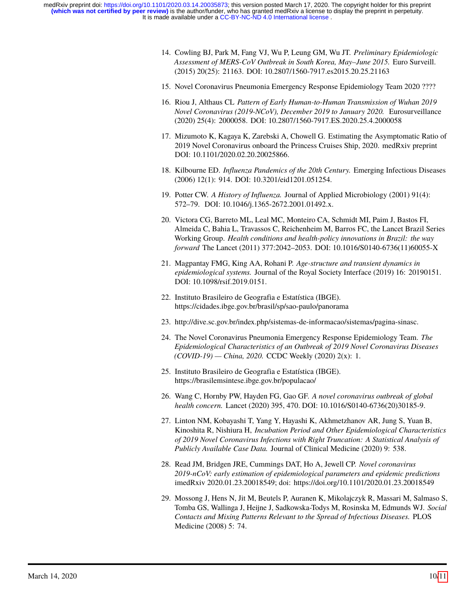- <span id="page-9-0"></span>14. Cowling BJ, Park M, Fang VJ, Wu P, Leung GM, Wu JT. *Preliminary Epidemiologic Assessment of MERS-CoV Outbreak in South Korea, May–June 2015.* Euro Surveill. (2015) 20(25): 21163. DOI: 10.2807/1560-7917.es2015.20.25.21163
- <span id="page-9-1"></span>15. Novel Coronavirus Pneumonia Emergency Response Epidemiology Team 2020 ????
- <span id="page-9-2"></span>16. Riou J, Althaus CL *Pattern of Early Human-to-Human Transmission of Wuhan 2019 Novel Coronavirus (2019-NCoV), December 2019 to January 2020.* Eurosurveillance (2020) 25(4): 2000058. DOI: 10.2807/1560-7917.ES.2020.25.4.2000058
- <span id="page-9-3"></span>17. Mizumoto K, Kagaya K, Zarebski A, Chowell G. Estimating the Asymptomatic Ratio of 2019 Novel Coronavirus onboard the Princess Cruises Ship, 2020. medRxiv preprint DOI: 10.1101/2020.02.20.20025866.
- <span id="page-9-4"></span>18. Kilbourne ED. *Influenza Pandemics of the 20th Century.* Emerging Infectious Diseases (2006) 12(1): 914. DOI: 10.3201/eid1201.051254.
- <span id="page-9-5"></span>19. Potter CW. *A History of Influenza.* Journal of Applied Microbiology (2001) 91(4): 572–79. DOI: 10.1046/j.1365-2672.2001.01492.x.
- <span id="page-9-6"></span>20. Victora CG, Barreto ML, Leal MC, Monteiro CA, Schmidt MI, Paim J, Bastos FI, Almeida C, Bahia L, Travassos C, Reichenheim M, Barros FC, the Lancet Brazil Series Working Group. *Health conditions and health-policy innovations in Brazil: the way forward* The Lancet (2011) 377:2042–2053. DOI: 10.1016/S0140-6736(11)60055-X
- <span id="page-9-7"></span>21. Magpantay FMG, King AA, Rohani P. *Age-structure and transient dynamics in epidemiological systems.* Journal of the Royal Society Interface (2019) 16: 20190151. DOI: 10.1098/rsif.2019.0151.
- <span id="page-9-8"></span>22. Instituto Brasileiro de Geografia e Estatística (IBGE). https://cidades.ibge.gov.br/brasil/sp/sao-paulo/panorama
- <span id="page-9-9"></span>23. http://dive.sc.gov.br/index.php/sistemas-de-informacao/sistemas/pagina-sinasc.
- <span id="page-9-10"></span>24. The Novel Coronavirus Pneumonia Emergency Response Epidemiology Team. *The Epidemiological Characteristics of an Outbreak of 2019 Novel Coronavirus Diseases (COVID-19) — China, 2020.* CCDC Weekly (2020) 2(x): 1.
- <span id="page-9-11"></span>25. Instituto Brasileiro de Geografia e Estatística (IBGE). https://brasilemsintese.ibge.gov.br/populacao/
- <span id="page-9-12"></span>26. Wang C, Hornby PW, Hayden FG, Gao GF. *A novel coronavirus outbreak of global health concern.* Lancet (2020) 395, 470. DOI: 10.1016/S0140-6736(20)30185-9.
- <span id="page-9-13"></span>27. Linton NM, Kobayashi T, Yang Y, Hayashi K, Akhmetzhanov AR, Jung S, Yuan B, Kinoshita R, Nishiura H, *Incubation Period and Other Epidemiological Characteristics of 2019 Novel Coronavirus Infections with Right Truncation: A Statistical Analysis of Publicly Available Case Data.* Journal of Clinical Medicine (2020) 9: 538.
- <span id="page-9-14"></span>28. Read JM, Bridgen JRE, Cummings DAT, Ho A, Jewell CP. *Novel coronavirus 2019-nCoV: early estimation of epidemiological parameters and epidemic predictions* imedRxiv 2020.01.23.20018549; doi: https://doi.org/10.1101/2020.01.23.20018549
- <span id="page-9-15"></span>29. Mossong J, Hens N, Jit M, Beutels P, Auranen K, Mikolajczyk R, Massari M, Salmaso S, Tomba GS, Wallinga J, Heijne J, Sadkowska-Todys M, Rosinska M, Edmunds WJ. *Social Contacts and Mixing Patterns Relevant to the Spread of Infectious Diseases.* PLOS Medicine (2008) 5: 74.